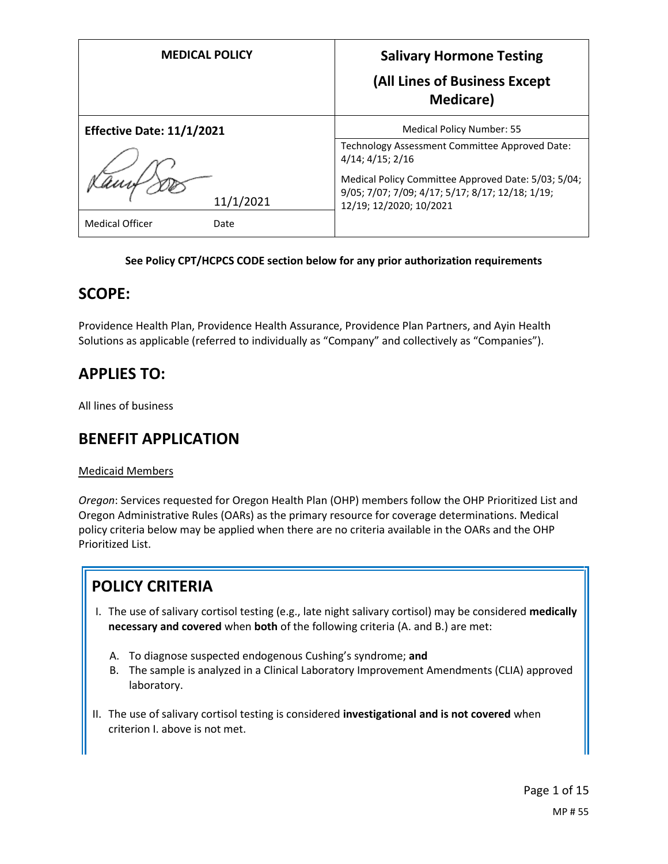| <b>MEDICAL POLICY</b>            | <b>Salivary Hormone Testing</b><br>(All Lines of Business Except<br><b>Medicare</b> )                                              |
|----------------------------------|------------------------------------------------------------------------------------------------------------------------------------|
| <b>Effective Date: 11/1/2021</b> | Medical Policy Number: 55                                                                                                          |
|                                  | Technology Assessment Committee Approved Date:<br>$4/14$ ; $4/15$ ; $2/16$                                                         |
| 11/1/2021                        | Medical Policy Committee Approved Date: 5/03; 5/04;<br>9/05; 7/07; 7/09; 4/17; 5/17; 8/17; 12/18; 1/19;<br>12/19; 12/2020; 10/2021 |
| <b>Medical Officer</b><br>Date   |                                                                                                                                    |

#### **See Policy CPT/HCPCS CODE section below for any prior authorization requirements**

## **SCOPE:**

Providence Health Plan, Providence Health Assurance, Providence Plan Partners, and Ayin Health Solutions as applicable (referred to individually as "Company" and collectively as "Companies").

## **APPLIES TO:**

All lines of business

## **BENEFIT APPLICATION**

#### Medicaid Members

*Oregon*: Services requested for Oregon Health Plan (OHP) members follow the OHP Prioritized List and Oregon Administrative Rules (OARs) as the primary resource for coverage determinations. Medical policy criteria below may be applied when there are no criteria available in the OARs and the OHP Prioritized List.

# **POLICY CRITERIA**

- I. The use of salivary cortisol testing (e.g., late night salivary cortisol) may be considered **medically necessary and covered** when **both** of the following criteria (A. and B.) are met:
	- A. To diagnose suspected endogenous Cushing's syndrome; **and**
	- B. The sample is analyzed in a Clinical Laboratory Improvement Amendments (CLIA) approved laboratory.
- II. The use of salivary cortisol testing is considered **investigational and is not covered** when criterion I. above is not met.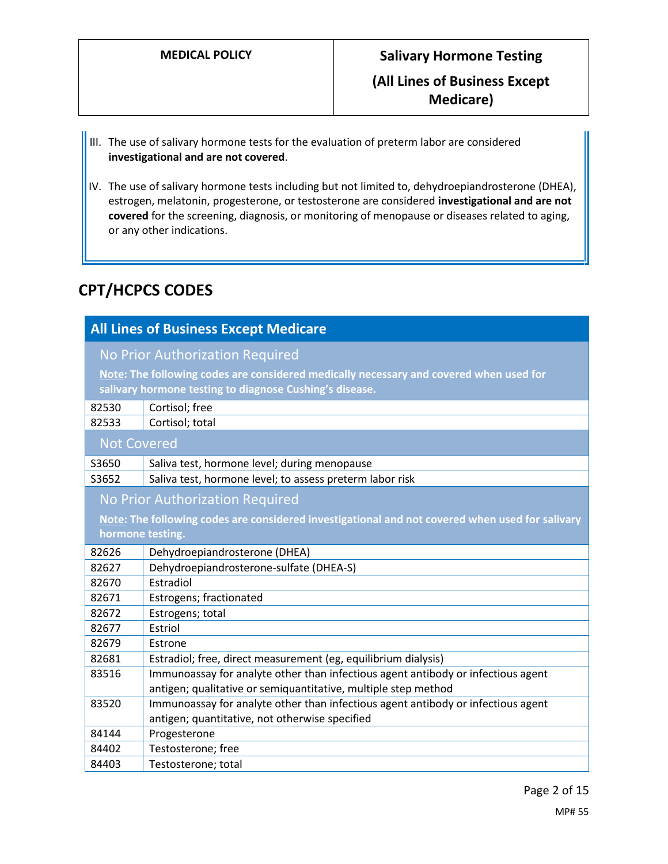# **MEDICAL POLICY Salivary Hormone Testing (All Lines of Business Except Medicare)**

- III. The use of salivary hormone tests for the evaluation of preterm labor are considered **investigational and are not covered**.
- IV. The use of salivary hormone tests including but not limited to, dehydroepiandrosterone (DHEA), estrogen, melatonin, progesterone, or testosterone are considered **investigational and are not covered** for the screening, diagnosis, or monitoring of menopause or diseases related to aging, or any other indications.

## **CPT/HCPCS CODES**

| <b>All Lines of Business Except Medicare</b>                                                    |                                                                                                                                                   |
|-------------------------------------------------------------------------------------------------|---------------------------------------------------------------------------------------------------------------------------------------------------|
| No Prior Authorization Required                                                                 |                                                                                                                                                   |
|                                                                                                 | Note: The following codes are considered medically necessary and covered when used for<br>salivary hormone testing to diagnose Cushing's disease. |
| 82530                                                                                           | Cortisol; free                                                                                                                                    |
| 82533                                                                                           | Cortisol; total                                                                                                                                   |
| <b>Not Covered</b>                                                                              |                                                                                                                                                   |
| S3650                                                                                           | Saliva test, hormone level; during menopause                                                                                                      |
| S3652                                                                                           | Saliva test, hormone level; to assess preterm labor risk                                                                                          |
| <b>No Prior Authorization Required</b>                                                          |                                                                                                                                                   |
| Note: The following codes are considered investigational and not covered when used for salivary |                                                                                                                                                   |
| hormone testing.                                                                                |                                                                                                                                                   |
| 82626                                                                                           | Dehydroepiandrosterone (DHEA)                                                                                                                     |
| 82627                                                                                           | Dehydroepiandrosterone-sulfate (DHEA-S)                                                                                                           |
| 82670                                                                                           | Estradiol                                                                                                                                         |
| 82671                                                                                           | Estrogens; fractionated                                                                                                                           |
| 82672                                                                                           | Estrogens; total                                                                                                                                  |
| 82677                                                                                           | Estriol                                                                                                                                           |
| 82679                                                                                           | Estrone                                                                                                                                           |
| 82681                                                                                           | Estradiol; free, direct measurement (eg, equilibrium dialysis)                                                                                    |
| 83516                                                                                           | Immunoassay for analyte other than infectious agent antibody or infectious agent                                                                  |
|                                                                                                 | antigen; qualitative or semiquantitative, multiple step method                                                                                    |
| 83520                                                                                           | Immunoassay for analyte other than infectious agent antibody or infectious agent                                                                  |
|                                                                                                 | antigen; quantitative, not otherwise specified                                                                                                    |
| 84144                                                                                           | Progesterone                                                                                                                                      |
| 84402                                                                                           | Testosterone; free                                                                                                                                |
| 84403                                                                                           | Testosterone; total                                                                                                                               |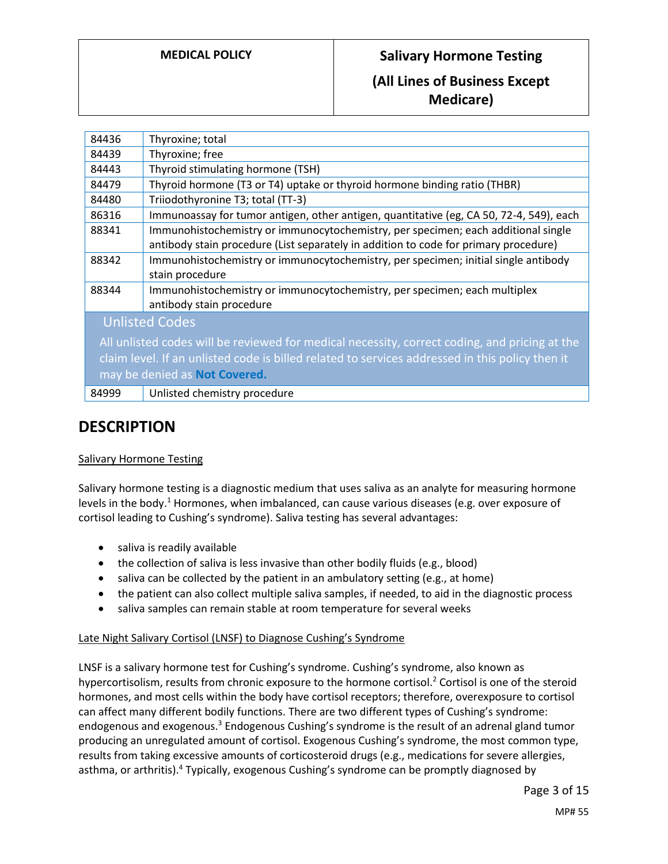## **MEDICAL POLICY Salivary Hormone Testing**

## **(All Lines of Business Except Medicare)**

| 84436                                                                                           | Thyroxine; total                                                                        |
|-------------------------------------------------------------------------------------------------|-----------------------------------------------------------------------------------------|
| 84439                                                                                           | Thyroxine; free                                                                         |
| 84443                                                                                           | Thyroid stimulating hormone (TSH)                                                       |
| 84479                                                                                           | Thyroid hormone (T3 or T4) uptake or thyroid hormone binding ratio (THBR)               |
| 84480                                                                                           | Triiodothyronine T3; total (TT-3)                                                       |
| 86316                                                                                           | Immunoassay for tumor antigen, other antigen, quantitative (eg, CA 50, 72-4, 549), each |
| 88341                                                                                           | Immunohistochemistry or immunocytochemistry, per specimen; each additional single       |
|                                                                                                 | antibody stain procedure (List separately in addition to code for primary procedure)    |
| 88342                                                                                           | Immunohistochemistry or immunocytochemistry, per specimen; initial single antibody      |
|                                                                                                 | stain procedure                                                                         |
| 88344                                                                                           | Immunohistochemistry or immunocytochemistry, per specimen; each multiplex               |
|                                                                                                 | antibody stain procedure                                                                |
| <b>Unlisted Codes</b>                                                                           |                                                                                         |
| All unlisted codes will be reviewed for medical necessity, correct coding, and pricing at the   |                                                                                         |
| claim level. If an unlisted code is billed related to services addressed in this policy then it |                                                                                         |
| may be denied as Not Covered.                                                                   |                                                                                         |
| 84999                                                                                           | Unlisted chemistry procedure                                                            |

## **DESCRIPTION**

### Salivary Hormone Testing

Salivary hormone testing is a diagnostic medium that uses saliva as an analyte for measuring hormone levels in the body.<sup>1</sup> Hormones, when imbalanced, can cause various diseases (e.g. over exposure of cortisol leading to Cushing's syndrome). Saliva testing has several advantages:

- saliva is readily available
- the collection of saliva is less invasive than other bodily fluids (e.g., blood)
- saliva can be collected by the patient in an ambulatory setting (e.g., at home)
- the patient can also collect multiple saliva samples, if needed, to aid in the diagnostic process
- saliva samples can remain stable at room temperature for several weeks

#### Late Night Salivary Cortisol (LNSF) to Diagnose Cushing's Syndrome

LNSF is a salivary hormone test for Cushing's syndrome. Cushing's syndrome, also known as hypercortisolism, results from chronic exposure to the hormone cortisol.<sup>2</sup> Cortisol is one of the steroid hormones, and most cells within the body have cortisol receptors; therefore, overexposure to cortisol can affect many different bodily functions. There are two different types of Cushing's syndrome: endogenous and exogenous.<sup>3</sup> Endogenous Cushing's syndrome is the result of an adrenal gland tumor producing an unregulated amount of cortisol. Exogenous Cushing's syndrome, the most common type, results from taking excessive amounts of corticosteroid drugs (e.g., medications for severe allergies, asthma, or arthritis).<sup>4</sup> Typically, exogenous Cushing's syndrome can be promptly diagnosed by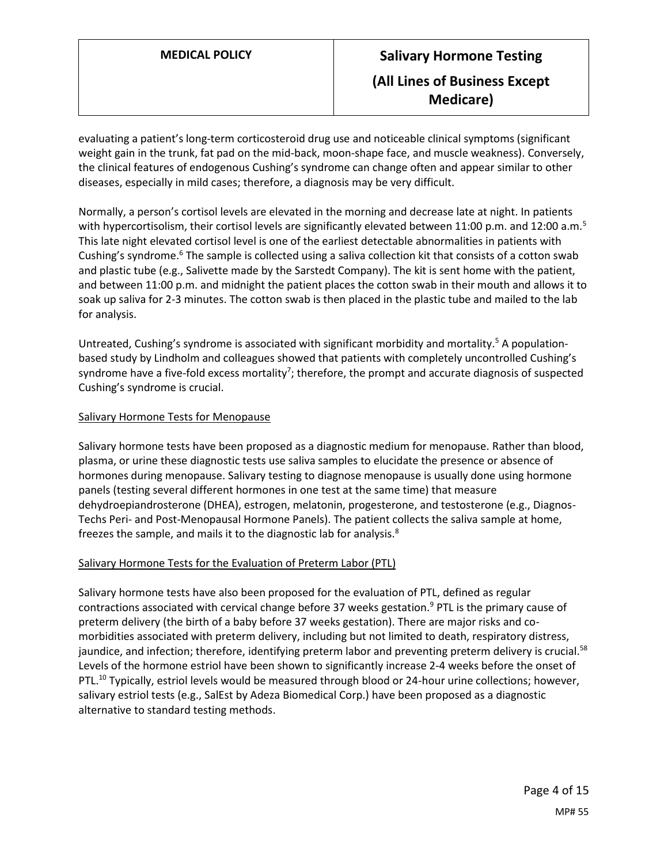# **MEDICAL POLICY Salivary Hormone Testing (All Lines of Business Except Medicare)**

evaluating a patient's long-term corticosteroid drug use and noticeable clinical symptoms (significant weight gain in the trunk, fat pad on the mid-back, moon-shape face, and muscle weakness). Conversely, the clinical features of endogenous Cushing's syndrome can change often and appear similar to other diseases, especially in mild cases; therefore, a diagnosis may be very difficult.

Normally, a person's cortisol levels are elevated in the morning and decrease late at night. In patients with hypercortisolism, their cortisol levels are significantly elevated between 11:00 p.m. and 12:00 a.m.<sup>5</sup> This late night elevated cortisol level is one of the earliest detectable abnormalities in patients with Cushing's syndrome.<sup>6</sup> The sample is collected using a saliva collection kit that consists of a cotton swab and plastic tube (e.g., Salivette made by the Sarstedt Company). The kit is sent home with the patient, and between 11:00 p.m. and midnight the patient places the cotton swab in their mouth and allows it to soak up saliva for 2-3 minutes. The cotton swab is then placed in the plastic tube and mailed to the lab for analysis.

Untreated, Cushing's syndrome is associated with significant morbidity and mortality.<sup>5</sup> A populationbased study by Lindholm and colleagues showed that patients with completely uncontrolled Cushing's syndrome have a five-fold excess mortality<sup>7</sup>; therefore, the prompt and accurate diagnosis of suspected Cushing's syndrome is crucial.

#### Salivary Hormone Tests for Menopause

Salivary hormone tests have been proposed as a diagnostic medium for menopause. Rather than blood, plasma, or urine these diagnostic tests use saliva samples to elucidate the presence or absence of hormones during menopause. Salivary testing to diagnose menopause is usually done using hormone panels (testing several different hormones in one test at the same time) that measure dehydroepiandrosterone (DHEA), estrogen, melatonin, progesterone, and testosterone (e.g., Diagnos-Techs Peri- and Post-Menopausal Hormone Panels). The patient collects the saliva sample at home, freezes the sample, and mails it to the diagnostic lab for analysis.<sup>8</sup>

#### Salivary Hormone Tests for the Evaluation of Preterm Labor (PTL)

Salivary hormone tests have also been proposed for the evaluation of PTL, defined as regular contractions associated with cervical change before 37 weeks gestation.<sup>9</sup> PTL is the primary cause of preterm delivery (the birth of a baby before 37 weeks gestation). There are major risks and comorbidities associated with preterm delivery, including but not limited to death, respiratory distress, jaundice, and infection; therefore, identifying preterm labor and preventing preterm delivery is crucial.<sup>58</sup> Levels of the hormone estriol have been shown to significantly increase 2-4 weeks before the onset of PTL.<sup>10</sup> Typically, estriol levels would be measured through blood or 24-hour urine collections; however, salivary estriol tests (e.g., SalEst by Adeza Biomedical Corp.) have been proposed as a diagnostic alternative to standard testing methods.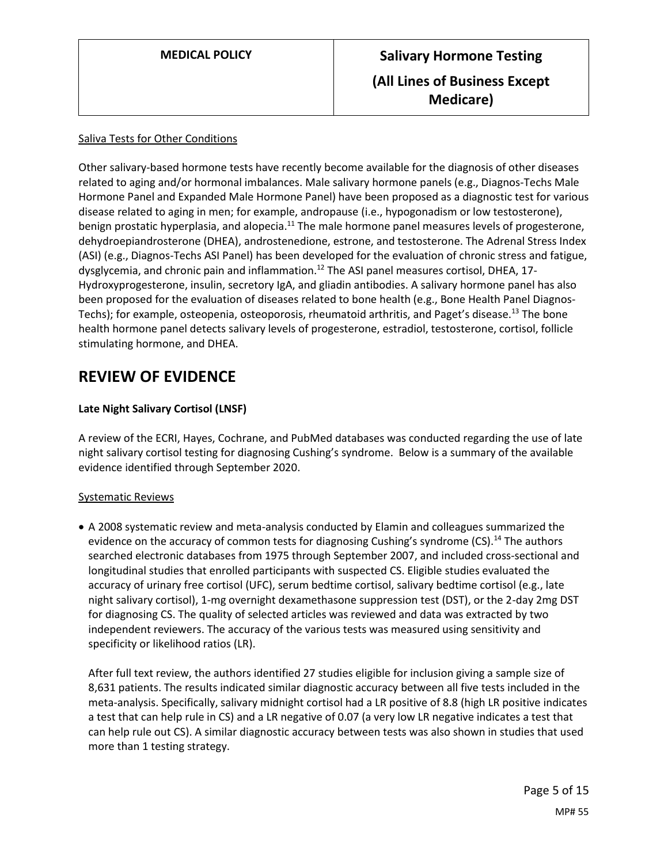#### Saliva Tests for Other Conditions

Other salivary-based hormone tests have recently become available for the diagnosis of other diseases related to aging and/or hormonal imbalances. Male salivary hormone panels (e.g., Diagnos-Techs Male Hormone Panel and Expanded Male Hormone Panel) have been proposed as a diagnostic test for various disease related to aging in men; for example, andropause (i.e., hypogonadism or low testosterone), benign prostatic hyperplasia, and alopecia.<sup>11</sup> The male hormone panel measures levels of progesterone, dehydroepiandrosterone (DHEA), androstenedione, estrone, and testosterone. The Adrenal Stress Index (ASI) (e.g., Diagnos-Techs ASI Panel) has been developed for the evaluation of chronic stress and fatigue, dysglycemia, and chronic pain and inflammation.<sup>12</sup> The ASI panel measures cortisol, DHEA, 17-Hydroxyprogesterone, insulin, secretory IgA, and gliadin antibodies. A salivary hormone panel has also been proposed for the evaluation of diseases related to bone health (e.g., Bone Health Panel Diagnos-Techs); for example, osteopenia, osteoporosis, rheumatoid arthritis, and Paget's disease.<sup>13</sup> The bone health hormone panel detects salivary levels of progesterone, estradiol, testosterone, cortisol, follicle stimulating hormone, and DHEA.

## **REVIEW OF EVIDENCE**

### **Late Night Salivary Cortisol (LNSF)**

A review of the ECRI, Hayes, Cochrane, and PubMed databases was conducted regarding the use of late night salivary cortisol testing for diagnosing Cushing's syndrome. Below is a summary of the available evidence identified through September 2020.

#### Systematic Reviews

 A 2008 systematic review and meta-analysis conducted by Elamin and colleagues summarized the evidence on the accuracy of common tests for diagnosing Cushing's syndrome (CS).<sup>14</sup> The authors searched electronic databases from 1975 through September 2007, and included cross-sectional and longitudinal studies that enrolled participants with suspected CS. Eligible studies evaluated the accuracy of urinary free cortisol (UFC), serum bedtime cortisol, salivary bedtime cortisol (e.g., late night salivary cortisol), 1-mg overnight dexamethasone suppression test (DST), or the 2-day 2mg DST for diagnosing CS. The quality of selected articles was reviewed and data was extracted by two independent reviewers. The accuracy of the various tests was measured using sensitivity and specificity or likelihood ratios (LR).

After full text review, the authors identified 27 studies eligible for inclusion giving a sample size of 8,631 patients. The results indicated similar diagnostic accuracy between all five tests included in the meta-analysis. Specifically, salivary midnight cortisol had a LR positive of 8.8 (high LR positive indicates a test that can help rule in CS) and a LR negative of 0.07 (a very low LR negative indicates a test that can help rule out CS). A similar diagnostic accuracy between tests was also shown in studies that used more than 1 testing strategy.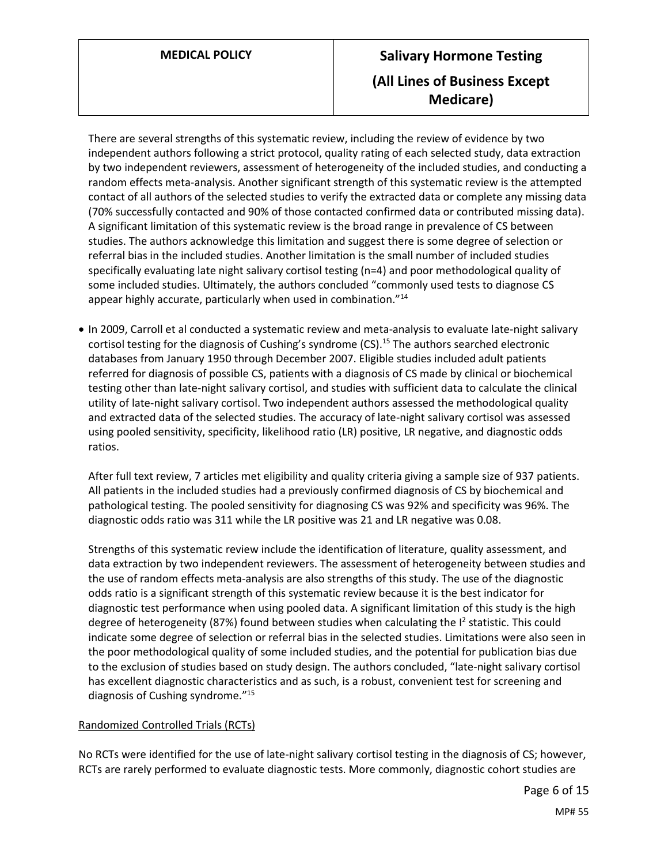# **MEDICAL POLICY Salivary Hormone Testing (All Lines of Business Except Medicare)**

There are several strengths of this systematic review, including the review of evidence by two independent authors following a strict protocol, quality rating of each selected study, data extraction by two independent reviewers, assessment of heterogeneity of the included studies, and conducting a random effects meta-analysis. Another significant strength of this systematic review is the attempted contact of all authors of the selected studies to verify the extracted data or complete any missing data (70% successfully contacted and 90% of those contacted confirmed data or contributed missing data). A significant limitation of this systematic review is the broad range in prevalence of CS between studies. The authors acknowledge this limitation and suggest there is some degree of selection or referral bias in the included studies. Another limitation is the small number of included studies specifically evaluating late night salivary cortisol testing (n=4) and poor methodological quality of some included studies. Ultimately, the authors concluded "commonly used tests to diagnose CS appear highly accurate, particularly when used in combination."<sup>14</sup>

• In 2009, Carroll et al conducted a systematic review and meta-analysis to evaluate late-night salivary cortisol testing for the diagnosis of Cushing's syndrome  $(CS)$ .<sup>15</sup> The authors searched electronic databases from January 1950 through December 2007. Eligible studies included adult patients referred for diagnosis of possible CS, patients with a diagnosis of CS made by clinical or biochemical testing other than late-night salivary cortisol, and studies with sufficient data to calculate the clinical utility of late-night salivary cortisol. Two independent authors assessed the methodological quality and extracted data of the selected studies. The accuracy of late-night salivary cortisol was assessed using pooled sensitivity, specificity, likelihood ratio (LR) positive, LR negative, and diagnostic odds ratios.

After full text review, 7 articles met eligibility and quality criteria giving a sample size of 937 patients. All patients in the included studies had a previously confirmed diagnosis of CS by biochemical and pathological testing. The pooled sensitivity for diagnosing CS was 92% and specificity was 96%. The diagnostic odds ratio was 311 while the LR positive was 21 and LR negative was 0.08.

Strengths of this systematic review include the identification of literature, quality assessment, and data extraction by two independent reviewers. The assessment of heterogeneity between studies and the use of random effects meta-analysis are also strengths of this study. The use of the diagnostic odds ratio is a significant strength of this systematic review because it is the best indicator for diagnostic test performance when using pooled data. A significant limitation of this study is the high degree of heterogeneity (87%) found between studies when calculating the  $I^2$  statistic. This could indicate some degree of selection or referral bias in the selected studies. Limitations were also seen in the poor methodological quality of some included studies, and the potential for publication bias due to the exclusion of studies based on study design. The authors concluded, "late-night salivary cortisol has excellent diagnostic characteristics and as such, is a robust, convenient test for screening and diagnosis of Cushing syndrome."<sup>15</sup>

### Randomized Controlled Trials (RCTs)

No RCTs were identified for the use of late-night salivary cortisol testing in the diagnosis of CS; however, RCTs are rarely performed to evaluate diagnostic tests. More commonly, diagnostic cohort studies are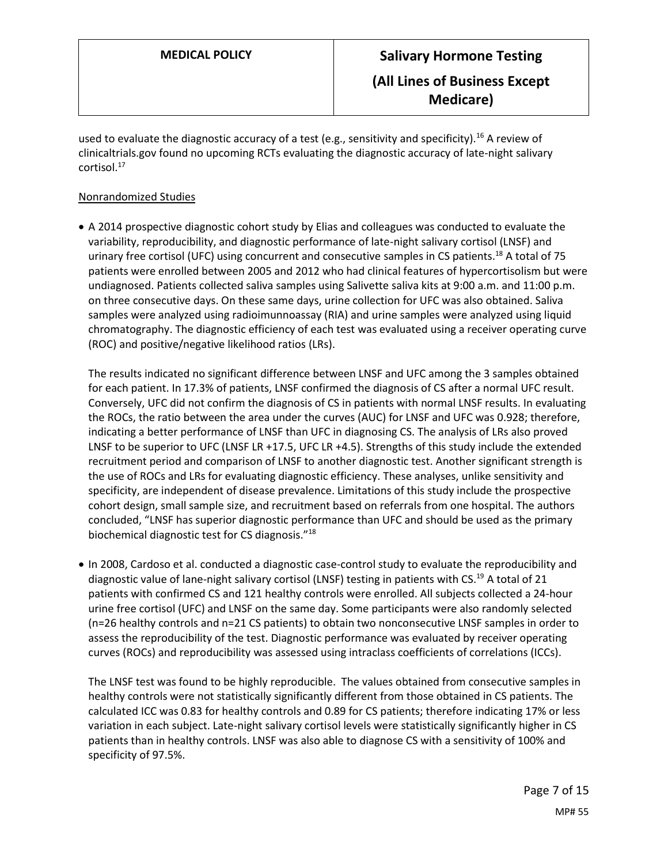used to evaluate the diagnostic accuracy of a test (e.g., sensitivity and specificity).<sup>16</sup> A review of clinicaltrials.gov found no upcoming RCTs evaluating the diagnostic accuracy of late-night salivary cortisol. 17

#### Nonrandomized Studies

 A 2014 prospective diagnostic cohort study by Elias and colleagues was conducted to evaluate the variability, reproducibility, and diagnostic performance of late-night salivary cortisol (LNSF) and urinary free cortisol (UFC) using concurrent and consecutive samples in CS patients.<sup>18</sup> A total of 75 patients were enrolled between 2005 and 2012 who had clinical features of hypercortisolism but were undiagnosed. Patients collected saliva samples using Salivette saliva kits at 9:00 a.m. and 11:00 p.m. on three consecutive days. On these same days, urine collection for UFC was also obtained. Saliva samples were analyzed using radioimunnoassay (RIA) and urine samples were analyzed using liquid chromatography. The diagnostic efficiency of each test was evaluated using a receiver operating curve (ROC) and positive/negative likelihood ratios (LRs).

The results indicated no significant difference between LNSF and UFC among the 3 samples obtained for each patient. In 17.3% of patients, LNSF confirmed the diagnosis of CS after a normal UFC result. Conversely, UFC did not confirm the diagnosis of CS in patients with normal LNSF results. In evaluating the ROCs, the ratio between the area under the curves (AUC) for LNSF and UFC was 0.928; therefore, indicating a better performance of LNSF than UFC in diagnosing CS. The analysis of LRs also proved LNSF to be superior to UFC (LNSF LR +17.5, UFC LR +4.5). Strengths of this study include the extended recruitment period and comparison of LNSF to another diagnostic test. Another significant strength is the use of ROCs and LRs for evaluating diagnostic efficiency. These analyses, unlike sensitivity and specificity, are independent of disease prevalence. Limitations of this study include the prospective cohort design, small sample size, and recruitment based on referrals from one hospital. The authors concluded, "LNSF has superior diagnostic performance than UFC and should be used as the primary biochemical diagnostic test for CS diagnosis."<sup>18</sup>

 In 2008, Cardoso et al. conducted a diagnostic case-control study to evaluate the reproducibility and diagnostic value of lane-night salivary cortisol (LNSF) testing in patients with CS.<sup>19</sup> A total of 21 patients with confirmed CS and 121 healthy controls were enrolled. All subjects collected a 24-hour urine free cortisol (UFC) and LNSF on the same day. Some participants were also randomly selected (n=26 healthy controls and n=21 CS patients) to obtain two nonconsecutive LNSF samples in order to assess the reproducibility of the test. Diagnostic performance was evaluated by receiver operating curves (ROCs) and reproducibility was assessed using intraclass coefficients of correlations (ICCs).

The LNSF test was found to be highly reproducible. The values obtained from consecutive samples in healthy controls were not statistically significantly different from those obtained in CS patients. The calculated ICC was 0.83 for healthy controls and 0.89 for CS patients; therefore indicating 17% or less variation in each subject. Late-night salivary cortisol levels were statistically significantly higher in CS patients than in healthy controls. LNSF was also able to diagnose CS with a sensitivity of 100% and specificity of 97.5%.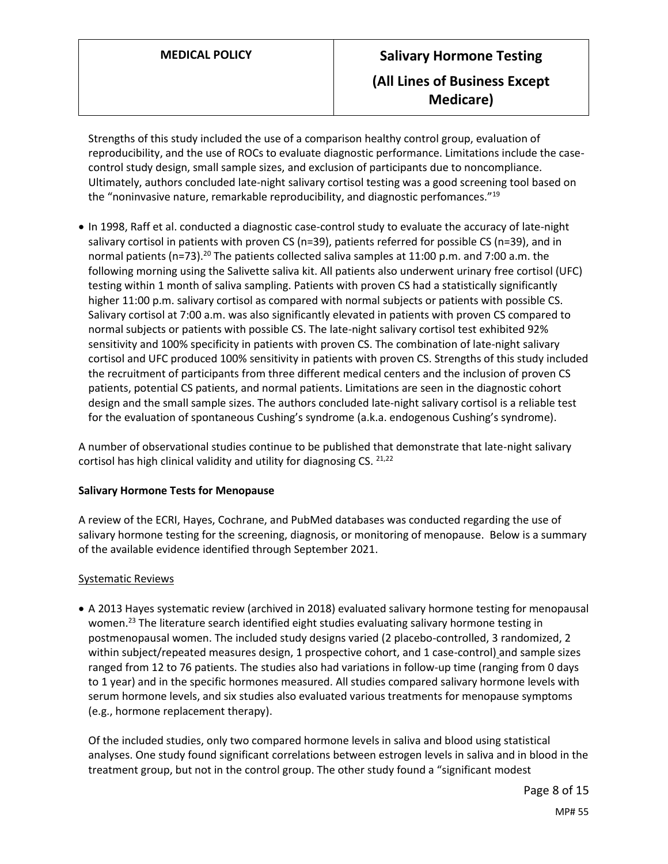Strengths of this study included the use of a comparison healthy control group, evaluation of reproducibility, and the use of ROCs to evaluate diagnostic performance. Limitations include the casecontrol study design, small sample sizes, and exclusion of participants due to noncompliance. Ultimately, authors concluded late-night salivary cortisol testing was a good screening tool based on the "noninvasive nature, remarkable reproducibility, and diagnostic perfomances."<sup>19</sup>

 In 1998, Raff et al. conducted a diagnostic case-control study to evaluate the accuracy of late-night salivary cortisol in patients with proven CS (n=39), patients referred for possible CS (n=39), and in normal patients (n=73).<sup>20</sup> The patients collected saliva samples at 11:00 p.m. and 7:00 a.m. the following morning using the Salivette saliva kit. All patients also underwent urinary free cortisol (UFC) testing within 1 month of saliva sampling. Patients with proven CS had a statistically significantly higher 11:00 p.m. salivary cortisol as compared with normal subjects or patients with possible CS. Salivary cortisol at 7:00 a.m. was also significantly elevated in patients with proven CS compared to normal subjects or patients with possible CS. The late-night salivary cortisol test exhibited 92% sensitivity and 100% specificity in patients with proven CS. The combination of late-night salivary cortisol and UFC produced 100% sensitivity in patients with proven CS. Strengths of this study included the recruitment of participants from three different medical centers and the inclusion of proven CS patients, potential CS patients, and normal patients. Limitations are seen in the diagnostic cohort design and the small sample sizes. The authors concluded late-night salivary cortisol is a reliable test for the evaluation of spontaneous Cushing's syndrome (a.k.a. endogenous Cushing's syndrome).

A number of observational studies continue to be published that demonstrate that late-night salivary cortisol has high clinical validity and utility for diagnosing CS. 21,22

#### **Salivary Hormone Tests for Menopause**

A review of the ECRI, Hayes, Cochrane, and PubMed databases was conducted regarding the use of salivary hormone testing for the screening, diagnosis, or monitoring of menopause. Below is a summary of the available evidence identified through September 2021.

#### Systematic Reviews

 A 2013 Hayes systematic review (archived in 2018) evaluated salivary hormone testing for menopausal women.<sup>23</sup> The literature search identified eight studies evaluating salivary hormone testing in postmenopausal women. The included study designs varied (2 placebo-controlled, 3 randomized, 2 within subject/repeated measures design, 1 prospective cohort, and 1 case-control) and sample sizes ranged from 12 to 76 patients. The studies also had variations in follow-up time (ranging from 0 days to 1 year) and in the specific hormones measured. All studies compared salivary hormone levels with serum hormone levels, and six studies also evaluated various treatments for menopause symptoms (e.g., hormone replacement therapy).

Of the included studies, only two compared hormone levels in saliva and blood using statistical analyses. One study found significant correlations between estrogen levels in saliva and in blood in the treatment group, but not in the control group. The other study found a "significant modest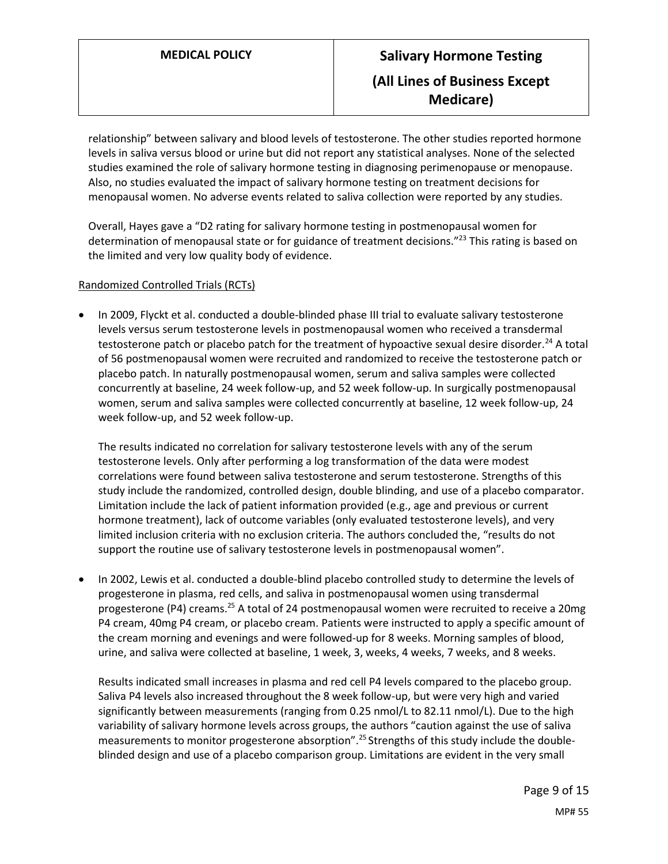relationship" between salivary and blood levels of testosterone. The other studies reported hormone levels in saliva versus blood or urine but did not report any statistical analyses. None of the selected studies examined the role of salivary hormone testing in diagnosing perimenopause or menopause. Also, no studies evaluated the impact of salivary hormone testing on treatment decisions for menopausal women. No adverse events related to saliva collection were reported by any studies.

Overall, Hayes gave a "D2 rating for salivary hormone testing in postmenopausal women for determination of menopausal state or for guidance of treatment decisions."<sup>23</sup> This rating is based on the limited and very low quality body of evidence.

### Randomized Controlled Trials (RCTs)

 In 2009, Flyckt et al. conducted a double-blinded phase III trial to evaluate salivary testosterone levels versus serum testosterone levels in postmenopausal women who received a transdermal testosterone patch or placebo patch for the treatment of hypoactive sexual desire disorder.<sup>24</sup> A total of 56 postmenopausal women were recruited and randomized to receive the testosterone patch or placebo patch. In naturally postmenopausal women, serum and saliva samples were collected concurrently at baseline, 24 week follow-up, and 52 week follow-up. In surgically postmenopausal women, serum and saliva samples were collected concurrently at baseline, 12 week follow-up, 24 week follow-up, and 52 week follow-up.

The results indicated no correlation for salivary testosterone levels with any of the serum testosterone levels. Only after performing a log transformation of the data were modest correlations were found between saliva testosterone and serum testosterone. Strengths of this study include the randomized, controlled design, double blinding, and use of a placebo comparator. Limitation include the lack of patient information provided (e.g., age and previous or current hormone treatment), lack of outcome variables (only evaluated testosterone levels), and very limited inclusion criteria with no exclusion criteria. The authors concluded the, "results do not support the routine use of salivary testosterone levels in postmenopausal women".

 In 2002, Lewis et al. conducted a double-blind placebo controlled study to determine the levels of progesterone in plasma, red cells, and saliva in postmenopausal women using transdermal progesterone (P4) creams.<sup>25</sup> A total of 24 postmenopausal women were recruited to receive a 20mg P4 cream, 40mg P4 cream, or placebo cream. Patients were instructed to apply a specific amount of the cream morning and evenings and were followed-up for 8 weeks. Morning samples of blood, urine, and saliva were collected at baseline, 1 week, 3, weeks, 4 weeks, 7 weeks, and 8 weeks.

Results indicated small increases in plasma and red cell P4 levels compared to the placebo group. Saliva P4 levels also increased throughout the 8 week follow-up, but were very high and varied significantly between measurements (ranging from 0.25 nmol/L to 82.11 nmol/L). Due to the high variability of salivary hormone levels across groups, the authors "caution against the use of saliva measurements to monitor progesterone absorption".<sup>25</sup> Strengths of this study include the doubleblinded design and use of a placebo comparison group. Limitations are evident in the very small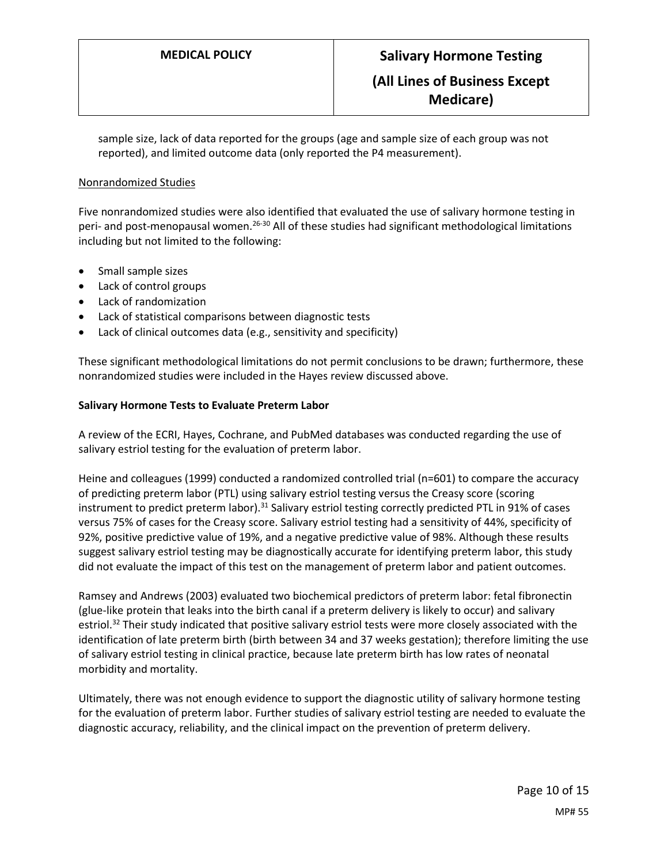sample size, lack of data reported for the groups (age and sample size of each group was not reported), and limited outcome data (only reported the P4 measurement).

#### Nonrandomized Studies

Five nonrandomized studies were also identified that evaluated the use of salivary hormone testing in peri- and post-menopausal women.<sup>26-30</sup> All of these studies had significant methodological limitations including but not limited to the following:

- Small sample sizes
- Lack of control groups
- Lack of randomization
- Lack of statistical comparisons between diagnostic tests
- Lack of clinical outcomes data (e.g., sensitivity and specificity)

These significant methodological limitations do not permit conclusions to be drawn; furthermore, these nonrandomized studies were included in the Hayes review discussed above.

#### **Salivary Hormone Tests to Evaluate Preterm Labor**

A review of the ECRI, Hayes, Cochrane, and PubMed databases was conducted regarding the use of salivary estriol testing for the evaluation of preterm labor.

Heine and colleagues (1999) conducted a randomized controlled trial (n=601) to compare the accuracy of predicting preterm labor (PTL) using salivary estriol testing versus the Creasy score (scoring instrument to predict preterm labor).<sup>31</sup> Salivary estriol testing correctly predicted PTL in 91% of cases versus 75% of cases for the Creasy score. Salivary estriol testing had a sensitivity of 44%, specificity of 92%, positive predictive value of 19%, and a negative predictive value of 98%. Although these results suggest salivary estriol testing may be diagnostically accurate for identifying preterm labor, this study did not evaluate the impact of this test on the management of preterm labor and patient outcomes.

Ramsey and Andrews (2003) evaluated two biochemical predictors of preterm labor: fetal fibronectin (glue-like protein that leaks into the birth canal if a preterm delivery is likely to occur) and salivary estriol.<sup>32</sup> Their study indicated that positive salivary estriol tests were more closely associated with the identification of late preterm birth (birth between 34 and 37 weeks gestation); therefore limiting the use of salivary estriol testing in clinical practice, because late preterm birth has low rates of neonatal morbidity and mortality.

Ultimately, there was not enough evidence to support the diagnostic utility of salivary hormone testing for the evaluation of preterm labor. Further studies of salivary estriol testing are needed to evaluate the diagnostic accuracy, reliability, and the clinical impact on the prevention of preterm delivery.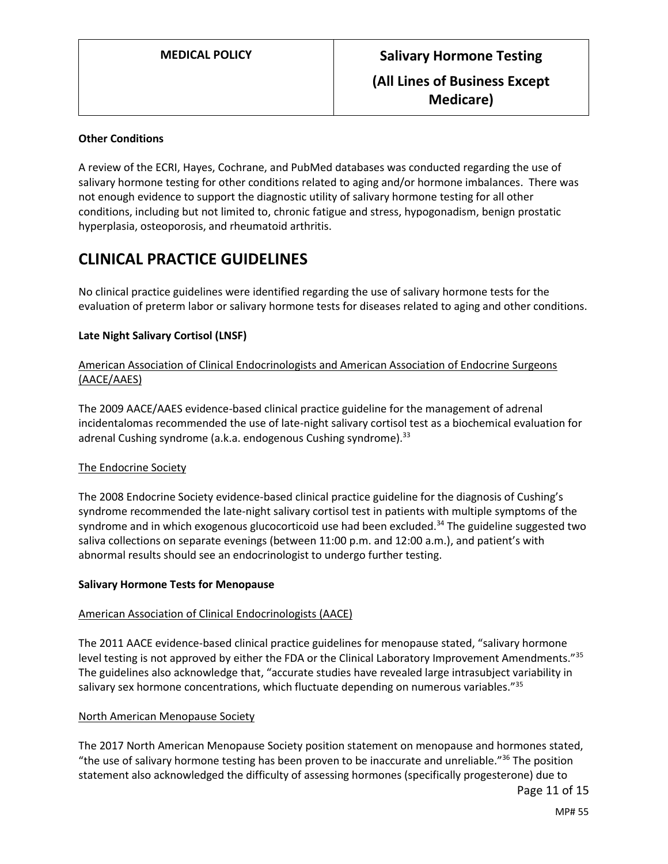#### **Other Conditions**

A review of the ECRI, Hayes, Cochrane, and PubMed databases was conducted regarding the use of salivary hormone testing for other conditions related to aging and/or hormone imbalances. There was not enough evidence to support the diagnostic utility of salivary hormone testing for all other conditions, including but not limited to, chronic fatigue and stress, hypogonadism, benign prostatic hyperplasia, osteoporosis, and rheumatoid arthritis.

## **CLINICAL PRACTICE GUIDELINES**

No clinical practice guidelines were identified regarding the use of salivary hormone tests for the evaluation of preterm labor or salivary hormone tests for diseases related to aging and other conditions.

### **Late Night Salivary Cortisol (LNSF)**

#### American Association of Clinical Endocrinologists and American Association of Endocrine Surgeons (AACE/AAES)

The 2009 AACE/AAES evidence-based clinical practice guideline for the management of adrenal incidentalomas recommended the use of late-night salivary cortisol test as a biochemical evaluation for adrenal Cushing syndrome (a.k.a. endogenous Cushing syndrome).<sup>33</sup>

#### The Endocrine Society

The 2008 Endocrine Society evidence-based clinical practice guideline for the diagnosis of Cushing's syndrome recommended the late-night salivary cortisol test in patients with multiple symptoms of the syndrome and in which exogenous glucocorticoid use had been excluded.<sup>34</sup> The guideline suggested two saliva collections on separate evenings (between 11:00 p.m. and 12:00 a.m.), and patient's with abnormal results should see an endocrinologist to undergo further testing.

#### **Salivary Hormone Tests for Menopause**

#### American Association of Clinical Endocrinologists (AACE)

The 2011 AACE evidence-based clinical practice guidelines for menopause stated, "salivary hormone level testing is not approved by either the FDA or the Clinical Laboratory Improvement Amendments."<sup>35</sup> The guidelines also acknowledge that, "accurate studies have revealed large intrasubject variability in salivary sex hormone concentrations, which fluctuate depending on numerous variables."<sup>35</sup>

#### North American Menopause Society

The 2017 North American Menopause Society position statement on menopause and hormones stated, "the use of salivary hormone testing has been proven to be inaccurate and unreliable."<sup>36</sup> The position statement also acknowledged the difficulty of assessing hormones (specifically progesterone) due to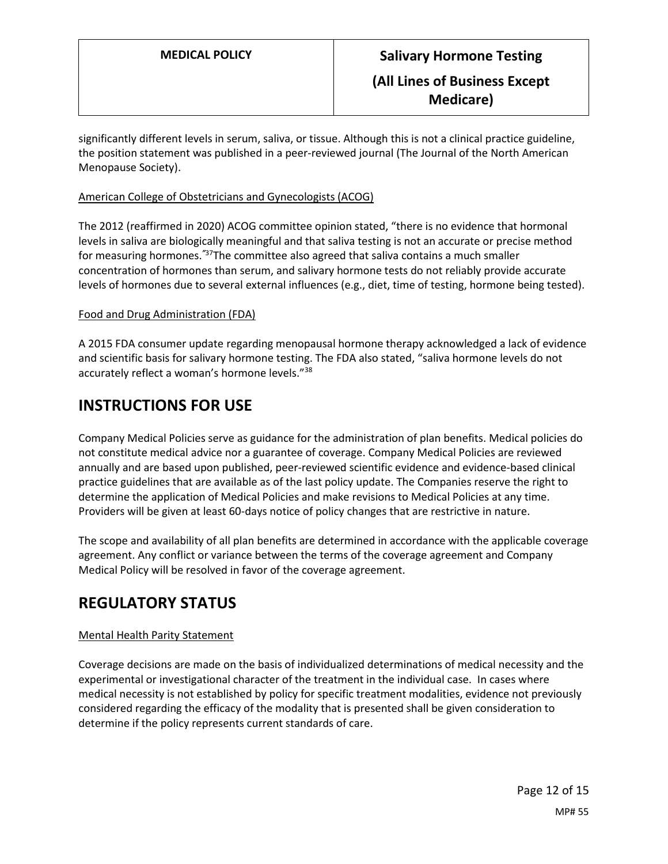significantly different levels in serum, saliva, or tissue. Although this is not a clinical practice guideline, the position statement was published in a peer-reviewed journal (The Journal of the North American Menopause Society).

#### American College of Obstetricians and Gynecologists (ACOG)

The 2012 (reaffirmed in 2020) ACOG committee opinion stated, "there is no evidence that hormonal levels in saliva are biologically meaningful and that saliva testing is not an accurate or precise method for measuring hormones.*"*<sup>37</sup>The committee also agreed that saliva contains a much smaller concentration of hormones than serum, and salivary hormone tests do not reliably provide accurate levels of hormones due to several external influences (e.g., diet, time of testing, hormone being tested).

#### Food and Drug Administration (FDA)

A 2015 FDA consumer update regarding menopausal hormone therapy acknowledged a lack of evidence and scientific basis for salivary hormone testing. The FDA also stated, "saliva hormone levels do not accurately reflect a woman's hormone levels."<sup>38</sup>

## **INSTRUCTIONS FOR USE**

Company Medical Policies serve as guidance for the administration of plan benefits. Medical policies do not constitute medical advice nor a guarantee of coverage. Company Medical Policies are reviewed annually and are based upon published, peer-reviewed scientific evidence and evidence-based clinical practice guidelines that are available as of the last policy update. The Companies reserve the right to determine the application of Medical Policies and make revisions to Medical Policies at any time. Providers will be given at least 60-days notice of policy changes that are restrictive in nature.

The scope and availability of all plan benefits are determined in accordance with the applicable coverage agreement. Any conflict or variance between the terms of the coverage agreement and Company Medical Policy will be resolved in favor of the coverage agreement.

## **REGULATORY STATUS**

### Mental Health Parity Statement

Coverage decisions are made on the basis of individualized determinations of medical necessity and the experimental or investigational character of the treatment in the individual case. In cases where medical necessity is not established by policy for specific treatment modalities, evidence not previously considered regarding the efficacy of the modality that is presented shall be given consideration to determine if the policy represents current standards of care.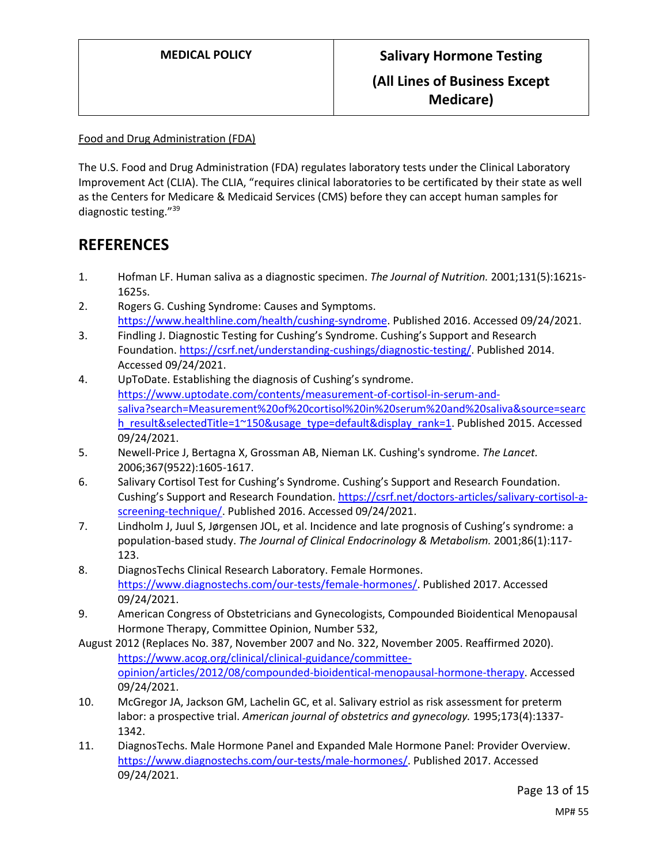Food and Drug Administration (FDA)

The U.S. Food and Drug Administration (FDA) regulates laboratory tests under the Clinical Laboratory Improvement Act (CLIA). The CLIA, "requires clinical laboratories to be certificated by their state as well as the Centers for Medicare & Medicaid Services (CMS) before they can accept human samples for diagnostic testing."<sup>39</sup>

## **REFERENCES**

- 1. Hofman LF. Human saliva as a diagnostic specimen. *The Journal of Nutrition.* 2001;131(5):1621s-1625s.
- 2. Rogers G. Cushing Syndrome: Causes and Symptoms. [https://www.healthline.com/health/cushing-syndrome.](https://www.healthline.com/health/cushing-syndrome) Published 2016. Accessed 09/24/2021.
- 3. Findling J. Diagnostic Testing for Cushing's Syndrome. Cushing's Support and Research Foundation[. https://csrf.net/understanding-cushings/diagnostic-testing/.](https://csrf.net/understanding-cushings/diagnostic-testing/) Published 2014. Accessed 09/24/2021.
- 4. UpToDate. Establishing the diagnosis of Cushing's syndrome. [https://www.uptodate.com/contents/measurement-of-cortisol-in-serum-and](https://www.uptodate.com/contents/measurement-of-cortisol-in-serum-and-saliva?search=Measurement%20of%20cortisol%20in%20serum%20and%20saliva&source=search_result&selectedTitle=1~150&usage_type=default&display_rank=1)[saliva?search=Measurement%20of%20cortisol%20in%20serum%20and%20saliva&source=searc](https://www.uptodate.com/contents/measurement-of-cortisol-in-serum-and-saliva?search=Measurement%20of%20cortisol%20in%20serum%20and%20saliva&source=search_result&selectedTitle=1~150&usage_type=default&display_rank=1) [h\\_result&selectedTitle=1~150&usage\\_type=default&display\\_rank=1.](https://www.uptodate.com/contents/measurement-of-cortisol-in-serum-and-saliva?search=Measurement%20of%20cortisol%20in%20serum%20and%20saliva&source=search_result&selectedTitle=1~150&usage_type=default&display_rank=1) Published 2015. Accessed 09/24/2021.
- 5. Newell-Price J, Bertagna X, Grossman AB, Nieman LK. Cushing's syndrome. *The Lancet.*  2006;367(9522):1605-1617.
- 6. Salivary Cortisol Test for Cushing's Syndrome. Cushing's Support and Research Foundation. Cushing's Support and Research Foundation. [https://csrf.net/doctors-articles/salivary-cortisol-a](https://csrf.net/doctors-articles/salivary-cortisol-a-screening-technique/)[screening-technique/.](https://csrf.net/doctors-articles/salivary-cortisol-a-screening-technique/) Published 2016. Accessed 09/24/2021.
- 7. Lindholm J, Juul S, Jørgensen JOL, et al. Incidence and late prognosis of Cushing's syndrome: a population-based study. *The Journal of Clinical Endocrinology & Metabolism.* 2001;86(1):117- 123.
- 8. DiagnosTechs Clinical Research Laboratory. Female Hormones. [https://www.diagnostechs.com/our-tests/female-hormones/.](https://www.diagnostechs.com/our-tests/female-hormones/) Published 2017. Accessed 09/24/2021.
- 9. American Congress of Obstetricians and Gynecologists, Compounded Bioidentical Menopausal Hormone Therapy, Committee Opinion, Number 532,
- August 2012 (Replaces No. 387, November 2007 and No. 322, November 2005. Reaffirmed 2020). [https://www.acog.org/clinical/clinical-guidance/committee](https://www.acog.org/clinical/clinical-guidance/committee-opinion/articles/2012/08/compounded-bioidentical-menopausal-hormone-therapy)[opinion/articles/2012/08/compounded-bioidentical-menopausal-hormone-therapy.](https://www.acog.org/clinical/clinical-guidance/committee-opinion/articles/2012/08/compounded-bioidentical-menopausal-hormone-therapy) Accessed 09/24/2021.
- 10. McGregor JA, Jackson GM, Lachelin GC, et al. Salivary estriol as risk assessment for preterm labor: a prospective trial. *American journal of obstetrics and gynecology.* 1995;173(4):1337- 1342.
- 11. DiagnosTechs. Male Hormone Panel and Expanded Male Hormone Panel: Provider Overview. [https://www.diagnostechs.com/our-tests/male-hormones/.](https://www.diagnostechs.com/our-tests/male-hormones/) Published 2017. Accessed 09/24/2021.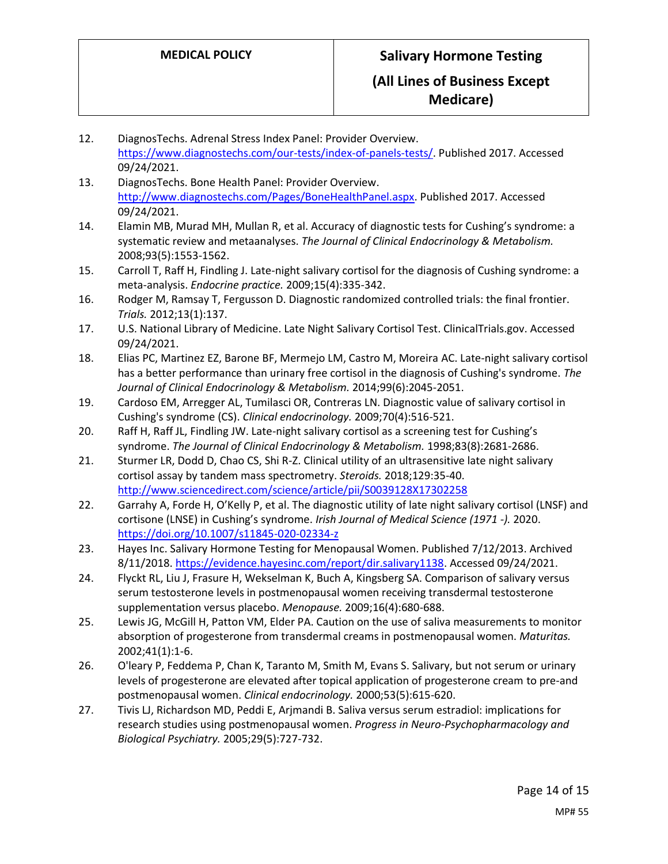12. DiagnosTechs. Adrenal Stress Index Panel: Provider Overview. [https://www.diagnostechs.com/our-tests/index-of-panels-tests/.](https://www.diagnostechs.com/our-tests/index-of-panels-tests/) Published 2017. Accessed 09/24/2021. 13. DiagnosTechs. Bone Health Panel: Provider Overview. [http://www.diagnostechs.com/Pages/BoneHealthPanel.aspx.](http://www.diagnostechs.com/Pages/BoneHealthPanel.aspx) Published 2017. Accessed 09/24/2021. 14. Elamin MB, Murad MH, Mullan R, et al. Accuracy of diagnostic tests for Cushing's syndrome: a systematic review and metaanalyses. *The Journal of Clinical Endocrinology & Metabolism.*  2008;93(5):1553-1562. 15. Carroll T, Raff H, Findling J. Late-night salivary cortisol for the diagnosis of Cushing syndrome: a meta-analysis. *Endocrine practice.* 2009;15(4):335-342. 16. Rodger M, Ramsay T, Fergusson D. Diagnostic randomized controlled trials: the final frontier. *Trials.* 2012;13(1):137. 17. U.S. National Library of Medicine. Late Night Salivary Cortisol Test. ClinicalTrials.gov. Accessed 09/24/2021. 18. Elias PC, Martinez EZ, Barone BF, Mermejo LM, Castro M, Moreira AC. Late-night salivary cortisol has a better performance than urinary free cortisol in the diagnosis of Cushing's syndrome. *The Journal of Clinical Endocrinology & Metabolism.* 2014;99(6):2045-2051. 19. Cardoso EM, Arregger AL, Tumilasci OR, Contreras LN. Diagnostic value of salivary cortisol in Cushing's syndrome (CS). *Clinical endocrinology.* 2009;70(4):516-521. 20. Raff H, Raff JL, Findling JW. Late-night salivary cortisol as a screening test for Cushing's syndrome. *The Journal of Clinical Endocrinology & Metabolism.* 1998;83(8):2681-2686. 21. Sturmer LR, Dodd D, Chao CS, Shi R-Z. Clinical utility of an ultrasensitive late night salivary cortisol assay by tandem mass spectrometry. *Steroids.* 2018;129:35-40. <http://www.sciencedirect.com/science/article/pii/S0039128X17302258> 22. Garrahy A, Forde H, O'Kelly P, et al. The diagnostic utility of late night salivary cortisol (LNSF) and cortisone (LNSE) in Cushing's syndrome. *Irish Journal of Medical Science (1971 -).* 2020. <https://doi.org/10.1007/s11845-020-02334-z> 23. Hayes Inc. Salivary Hormone Testing for Menopausal Women. Published 7/12/2013. Archived 8/11/2018. [https://evidence.hayesinc.com/report/dir.salivary1138.](https://evidence.hayesinc.com/report/dir.salivary1138) Accessed 09/24/2021. 24. Flyckt RL, Liu J, Frasure H, Wekselman K, Buch A, Kingsberg SA. Comparison of salivary versus serum testosterone levels in postmenopausal women receiving transdermal testosterone supplementation versus placebo. *Menopause.* 2009;16(4):680-688. 25. Lewis JG, McGill H, Patton VM, Elder PA. Caution on the use of saliva measurements to monitor absorption of progesterone from transdermal creams in postmenopausal women. *Maturitas.*  2002;41(1):1-6. 26. O'leary P, Feddema P, Chan K, Taranto M, Smith M, Evans S. Salivary, but not serum or urinary levels of progesterone are elevated after topical application of progesterone cream to pre‐and postmenopausal women. *Clinical endocrinology.* 2000;53(5):615-620. 27. Tivis LJ, Richardson MD, Peddi E, Arjmandi B. Saliva versus serum estradiol: implications for research studies using postmenopausal women. *Progress in Neuro-Psychopharmacology and Biological Psychiatry.* 2005;29(5):727-732.